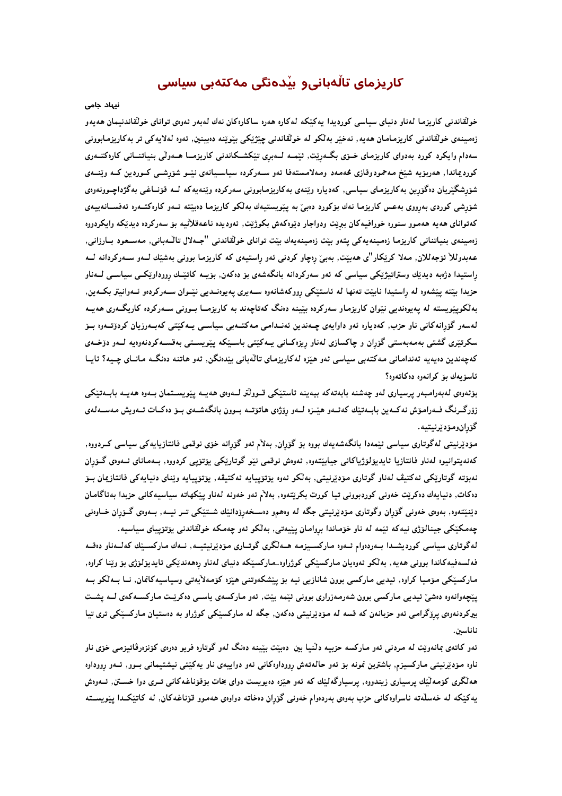## کارپزمای تالْهبانیو بِنْدەنگی مەکتەبی سىاسی

## نیہاد جامی

خولقاندنی کاریزما لەناو دنیای سیاسی کوردیدا یەکیکە لەکارە ھەرە ساکارەکان نەك لەبەر ئەوەی توانای خولقاندنیمان ھەيەو زەمينەي خوڭقاندنى كارېزمامان ھەيە, نەخير بەڭكو لە خوڭقاندنى چيژېيكى بيويننە دەبيىنين, ئەوە لەلايەكى تر بەكارېزمابوونى سهدام وایکرد کورد بهدوای کاریزمای خــۆی بگــهریت, ئینمــه لــهبری تینکشــکاندنی کاریزمــا هــهولّی بنیـاتنــانی کارهکتــهری کوردیماندا, هەربۆیە شبنخ مەحمودوقازی محەمەد ومەلامستەفا ئەو سـەرکردە سیاسـیانەی نینــو شۆرشــی کــوردین کــه وینـــەی شۆرشگیریان دەگۆرین بەكاریزماي سیاسی, كەدیارە ویْنەی بەكاریزمابوونی سەركردە ویْنەیەكە لــە قۆنــاغی بەگژداچـوونەوەي .<br>شۆرشى كوردى بەرووى بەعس كارېزما نەك بۆكورد دەبى بە يېنويستېيەك بەلكو كارېزما دەبېتتە ئــەو كارەكتــەرە ئەفســانەييەي کهتوانای هه یه ههموو سنوره خورافیهکان ببریّت ودواجار دیّوهکهش بکوژیّت, ئهودیده ناعهقلانیه بوّ سهرکرده دیدیّکه وایکردووه زەمپنەي بنياتنانى كاريزما زەمپنەيەكى يتەو بيّت زەمپنەيەك بيّت تواناي خولقاندنى "جـەلال تاڭـەبانى, مەسـعود بــارزانى, عـهبدوللاً ئۆجەللان, مـەلا كرێكار"ى ھەبێت, بەبئ رەچاو كردنى ئەو راستيەي كە كاريزمـا بوونى بەشێك لــەو ســەركردانـە لــە راستیدا دژەبە دیدنیك وستراتیژنیكى سیاسى كە ئەو سەركردانە بانگەشەي بۆ دەكەن, بۆیــە كاتێــك رووداوێكــى سیاســى لــەناو حزبدا بيّته پيّشهوه له راستيدا نابيّت تهنها له ئاستيّكى رووكهشانهوه ســهيرى پهيوهنــديى نيّــوان ســهركردهو ئــهوانيتر بكــهين, بهلکویینویسته له یهیوهندیی نینوان کاریزماو سەرکرده بییبنه دەنگ کەتاچەند بە کاریزمــا بــوونی ســەرکرده کاریگــەری هەيــە لەسەر گۆرانەكانى ناو حزب, كەديارە ئەو داوايەي چـەندين ئەنــدامى مـەكتــەبى سياســى يــەكێتى كەبــەرزيان كردۆتــەوە بــۆ سکرتیّزی گشتی بهمهبهستی گۆران و چاکسازی لهناو ریزهکانی پــهکیّتی باسـیدکه ییّویســتی بهقســهکردنهوهیه لــهو دۆخــهی کەچەندین دەپەيە ئەندامانى مەكتەبى سياسى ئەو ھێزە لەكارىزماي تالەبانى بێدەنگن, ئەو ھاتنە دەنگـە مانــاي چــيە؟ ئايــا ئاسۆيەك بۆ كرانەوە دەكاتەوە؟

بۆئەرەي لەبەرامبەر پرسپارى لەو چەشنە بابەتەكە ببەينە ئاستېكى قـوولتر لـەرەي ھەپـە يېرىســتمان بـەرە ھەپـە بابـەتېكى ززرگــرنگ فــهرامـۆش نەكــەين بابــەتـێك كەئــەو هينــزه لـــەو رۆژەي هاتـۆتــە بــوون بانگەشــەي بــۆ دەكــات ئــەويش مـەســـەلـەي گۆران ومۆدێرنېتيە.

مۆدنیزنیتی لەگوتاری سیاسی ئیںّمەدا بانگەشەپەك بورە بۆ گۆران, بەلام ئەو گۆرانە خۆی نوقمی فانتازیاپەكی سیاسی كـردووه, كەنەيتوانيوە لەناو فانتازيا ئايدېۆلۆژياكانى جيابينتەوە, ئەوەش نوقمى نېيو گوتارېكى يۆتۆيى كردووە, بــەمـاناي ئــەوەي گــۆران نەبۆتە گوتارێكى ئەكتيڤ لەناو گوتارى مۆدێرنيتى, بەڵكو ئەوە يۆتۆپيايە ئەكتيڤە, يۆتۆپيايە وێناي دنيايەكى فانتازيمان بـۆ دهکات, دنیایهك دهکریّت خەونبی كوردبوونبی تیا كورت بكریّتهوه, بهلاّم ئەو خەونە لەناو ییّکهاته سیاسیەکانبی حزبدا بەئاگامان دنینپتنهوه, بهوهی خهونی گۆران وگوتاری مۆدنیرنیتی جگه له وهمهو دهسخهرۆدانپیك شــتـینِكی تــو نیــه, بــهوهی گــۆران خــاوهنی چەمكێكى جينالۆژى نيەكە ئێمە لە ناو خۆماندا بروامان پێيەتى, بەلكو ئەو چەمكە خولقاندنى يۆتۆپياى سياسيە.

لەگوتارى سياسى كورديشــدا بــەردەوام ئــەوە مـاركســيزمـە ھــەڭگرى گوتــارى مۆدێرنيـتيـــە, نــەك مـاركســێك كەلــەناو دەقــە فەلسەفيەكاندا بوونىي ھەيە, بەلكو ئەوەيان ماركسێكى كوژراوە..ماركسێكە دنياى لەناو رەھەندێكى ئايديۆلۆژى بۆ وێنا كراوە, مارکسپکی مو٘میا کراوہ, ئیدیبی مارکسی بوون شانازیبی نیه بو٘ پی٘شکەوتنی هی٘زه کو٘مەلاّیەتی وسیاسیەکانمان, نــا بــەلکو بــه پینچهوانهوه دهشیؒ ئیدیبی مارکسی بوون شهرمهزراری بوونی ئی٘مه بی٘ت, ئهو مارکسهی یاسـبی دهکریـْـت مـارکســهکهی لــه یشــت بپرکردنهووی پرۆگرامی ئهو حزبانهن که قسه له مۆدێرنیتی دەکەن, جگه له مارکسێکی کوژراو به دەستیان مارکسێکی تری تیا ناناسىن.

ئهو کاتمی بمانمویّت له مردنی ئهو مارکسه حزبیه دلّنیا بین دهبیّت بیّینه دهنگ لهو گوتاره فریو دهرهی کوّنزهرڤاتیزمی خوّی ناو ناوه مۆدن<u>ی</u>رنیتی مارکسیزم, باشترین نمونه بۆ ئەو حالەتەش رووداوەکانی ئەو دواییەی ناو یەکینتی نیشتیمانی بــوو, ئــەو رووداوە ههانگری کۆمەلىیك پرسياری زيندووه, پرسيارگەلىیك كە ئەو ھیزە دەيويست دوای بخات بۆقۆناغەكانى تــرى دوا خســتن, ئـــەوەش یهکیکه له خهسلَّهته ناسراوهکانی حزب بهوهی بهردهوام خهونبی گۆران دهخاته دواوهی ههصوو قۆناغهکان, له کاتینکـدا یینویســته